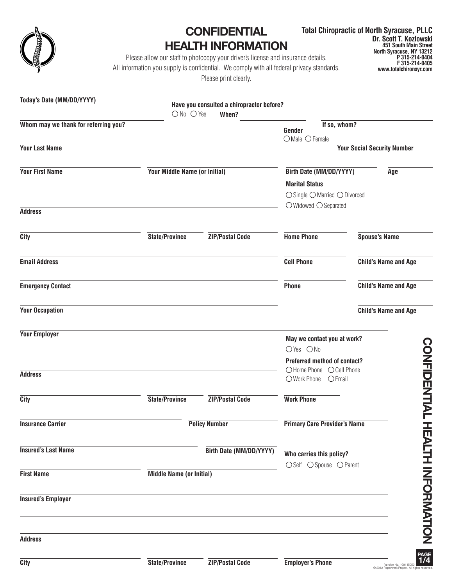

## **CONFIDENTIAL HEALTH INFORMATION**

**Total Chiropractic of North Syracuse, PLLC Dr. Scott T. Kozlowski 451 South Main Street North Syracuse, NY 13212 P 315-214-0404 F 315-214-0405 www.totalchironsyr.com**

Please allow our staff to photocopy your driver's license and insurance details. All information you supply is confidential. We comply with all federal privacy standards.

Please print clearly.

| <b>City</b>                          | <b>State/Province</b>                | <b>ZIP/Postal Code</b>                    | <b>Employer's Phone</b>                                                           | PAGE<br>1/4<br>Version No. 10911505 |
|--------------------------------------|--------------------------------------|-------------------------------------------|-----------------------------------------------------------------------------------|-------------------------------------|
| <b>Address</b>                       |                                      |                                           |                                                                                   |                                     |
| <b>Insured's Employer</b>            |                                      |                                           |                                                                                   | <b>HEALIH INFORMATION</b>           |
| <b>First Name</b>                    | <b>Middle Name (or Initial)</b>      |                                           |                                                                                   |                                     |
| <b>Insured's Last Name</b>           |                                      | Birth Date (MM/DD/YYYY)                   | Who carries this policy?<br>○Self ○ Spouse ○ Parent                               |                                     |
|                                      |                                      |                                           |                                                                                   |                                     |
| <b>Insurance Carrier</b>             |                                      | <b>Policy Number</b>                      | <b>Primary Care Provider's Name</b>                                               |                                     |
| <b>City</b>                          | <b>State/Province</b>                | <b>ZIP/Postal Code</b>                    | <b>Work Phone</b>                                                                 |                                     |
| <b>Address</b>                       |                                      |                                           | O Home Phone<br>○ Work Phone<br>$O$ Email                                         | <b>CONFIDENTIAL</b><br>○ Cell Phone |
|                                      |                                      |                                           | Preferred method of contact?                                                      |                                     |
| <b>Your Employer</b>                 |                                      |                                           | May we contact you at work?<br>$OYes$ $ONo$                                       |                                     |
| <b>Your Occupation</b>               |                                      |                                           |                                                                                   | <b>Child's Name and Age</b>         |
| <b>Emergency Contact</b>             |                                      |                                           | <b>Phone</b>                                                                      | <b>Child's Name and Age</b>         |
|                                      |                                      |                                           |                                                                                   |                                     |
| <b>Email Address</b>                 |                                      |                                           | <b>Cell Phone</b>                                                                 | <b>Child's Name and Age</b>         |
| <b>City</b>                          | <b>State/Province</b>                | <b>ZIP/Postal Code</b>                    | <b>Home Phone</b>                                                                 | <b>Spouse's Name</b>                |
| <b>Address</b>                       |                                      |                                           | $\bigcirc$ Widowed $\bigcirc$ Separated                                           |                                     |
|                                      |                                      |                                           | <b>Marital Status</b><br>$\bigcirc$ Single $\bigcirc$ Married $\bigcirc$ Divorced |                                     |
| <b>Your First Name</b>               | <b>Your Middle Name (or Initial)</b> |                                           | Birth Date (MM/DD/YYYY)                                                           | Age                                 |
| <b>Your Last Name</b>                |                                      |                                           |                                                                                   | <b>Your Social Security Number</b>  |
|                                      |                                      |                                           | Gender<br>$O$ Male $O$ Female                                                     |                                     |
| Whom may we thank for referring you? | $\bigcirc$ No $\bigcirc$ Yes         | When?                                     |                                                                                   | If so, whom?                        |
| Today's Date (MM/DD/YYYY)            |                                      | Have you consulted a chiropractor before? |                                                                                   |                                     |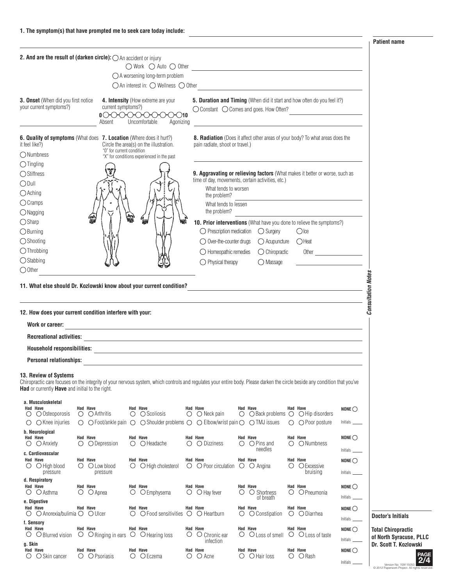**Patient name**

| 2. And are the result of (darken circle): O An accident or injury                                                                                                                                                                                                     |          |                                                                                      |   | $\bigcirc$ Work $\bigcirc$ Auto $\bigcirc$ Other                                                                              |                                                                                                                     |                                                                         |                                                                                                                                                                                                                                      |                 |                                                   |
|-----------------------------------------------------------------------------------------------------------------------------------------------------------------------------------------------------------------------------------------------------------------------|----------|--------------------------------------------------------------------------------------|---|-------------------------------------------------------------------------------------------------------------------------------|---------------------------------------------------------------------------------------------------------------------|-------------------------------------------------------------------------|--------------------------------------------------------------------------------------------------------------------------------------------------------------------------------------------------------------------------------------|-----------------|---------------------------------------------------|
|                                                                                                                                                                                                                                                                       |          |                                                                                      |   | $\bigcirc$ A worsening long-term problem<br>$\bigcirc$ An interest in: $\bigcirc$ Wellness $\bigcirc$ Other                   |                                                                                                                     |                                                                         | <u> 1980 - Jan Stein Stein Stein Stein Stein Stein Stein Stein Stein Stein Stein Stein Stein Stein Stein Stein S</u>                                                                                                                 |                 |                                                   |
| 3. Onset (When did you first notice<br>your current symptoms?)                                                                                                                                                                                                        |          | current symptoms?)<br>$\mathbf{O}\bigcirc\bigcirc\bigcirc\bigcirc\bigcirc$<br>Absent |   | 4. Intensity (How extreme are your<br>. )10<br>Uncomfortable<br>Agonizing                                                     | 5. Duration and Timing (When did it start and how often do you feel it?)<br>○ Constant ○ Comes and goes. How Often? |                                                                         |                                                                                                                                                                                                                                      |                 |                                                   |
| 6. Quality of symptoms (What does 7. Location (Where does it hurt?)<br>it feel like?)                                                                                                                                                                                 |          | "0" for current condition                                                            |   | Circle the area(s) on the illustration.                                                                                       | 8. Radiation (Does it affect other areas of your body? To what areas does the<br>pain radiate, shoot or travel.)    |                                                                         |                                                                                                                                                                                                                                      |                 |                                                   |
| O Numbness<br>$\bigcirc$ Tingling                                                                                                                                                                                                                                     |          |                                                                                      |   | "X" for conditions experienced in the past                                                                                    |                                                                                                                     |                                                                         |                                                                                                                                                                                                                                      |                 |                                                   |
| ◯ Stiffness                                                                                                                                                                                                                                                           |          |                                                                                      |   |                                                                                                                               | 9. Aggravating or relieving factors (What makes it better or worse, such as                                         |                                                                         |                                                                                                                                                                                                                                      |                 |                                                   |
| $\bigcirc$ Dull                                                                                                                                                                                                                                                       |          |                                                                                      |   |                                                                                                                               | time of day, movements, certain activities, etc.)                                                                   |                                                                         |                                                                                                                                                                                                                                      |                 |                                                   |
| $\bigcirc$ Aching                                                                                                                                                                                                                                                     |          |                                                                                      |   |                                                                                                                               | What tends to worsen                                                                                                |                                                                         |                                                                                                                                                                                                                                      |                 |                                                   |
| $\bigcirc$ Cramps                                                                                                                                                                                                                                                     |          |                                                                                      |   |                                                                                                                               | the problem?<br>What tends to lessen                                                                                |                                                                         |                                                                                                                                                                                                                                      |                 |                                                   |
| $\bigcirc$ Nagging                                                                                                                                                                                                                                                    |          |                                                                                      |   |                                                                                                                               | the problem?                                                                                                        |                                                                         |                                                                                                                                                                                                                                      |                 |                                                   |
| $\bigcirc$ Sharp                                                                                                                                                                                                                                                      |          |                                                                                      | 縊 |                                                                                                                               | 10. Prior interventions (What have you done to relieve the symptoms?)                                               |                                                                         |                                                                                                                                                                                                                                      |                 |                                                   |
| $\bigcirc$ Burning                                                                                                                                                                                                                                                    |          |                                                                                      |   |                                                                                                                               | $\bigcirc$ Prescription medication $\bigcirc$ Surgery                                                               |                                                                         | $\bigcirc$ Ice                                                                                                                                                                                                                       |                 |                                                   |
| $\bigcirc$ Shooting                                                                                                                                                                                                                                                   |          |                                                                                      |   |                                                                                                                               | $\bigcirc$ Over-the-counter drugs                                                                                   | $\bigcirc$ Acupuncture                                                  | ◯ Heat                                                                                                                                                                                                                               |                 |                                                   |
| $\bigcirc$ Throbbing                                                                                                                                                                                                                                                  |          |                                                                                      |   |                                                                                                                               | $\bigcirc$ Homeopathic remedies                                                                                     | $\bigcirc$ Chiropractic                                                 | Other <b>contract of the contract of the contract of the contract of the contract of the contract of the contract of the contract of the contract of the contract of the contract of the contract of the contract of the contrac</b> |                 |                                                   |
| ◯ Stabbing                                                                                                                                                                                                                                                            |          |                                                                                      |   |                                                                                                                               | $\bigcirc$ Physical therapy                                                                                         | $\bigcirc$ Massage                                                      |                                                                                                                                                                                                                                      |                 |                                                   |
| $\bigcirc$ Other                                                                                                                                                                                                                                                      |          |                                                                                      |   |                                                                                                                               |                                                                                                                     |                                                                         |                                                                                                                                                                                                                                      |                 |                                                   |
| 12. How does your current condition interfere with your:<br>Work or career:                                                                                                                                                                                           |          |                                                                                      |   | <u> 1989 - Johann Stoff, deutscher Stoff, der Stoff, der Stoff, der Stoff, der Stoff, der Stoff, der Stoff, der S</u>         |                                                                                                                     |                                                                         |                                                                                                                                                                                                                                      |                 | <b>Consultation Notes</b>                         |
| <b>Recreational activities:</b>                                                                                                                                                                                                                                       |          |                                                                                      |   | <u> 1980 - Johann Barn, fransk politik (f. 1980)</u>                                                                          |                                                                                                                     |                                                                         |                                                                                                                                                                                                                                      |                 |                                                   |
| <b>Household responsibilities:</b>                                                                                                                                                                                                                                    |          |                                                                                      |   | <u> 1980 - Johann Stein, marwolaethau a bhann an t-Amhair an t-Amhair an t-Amhair an t-Amhair an t-Amhair an t-A</u>          |                                                                                                                     |                                                                         |                                                                                                                                                                                                                                      |                 |                                                   |
| <b>Personal relationships:</b>                                                                                                                                                                                                                                        |          |                                                                                      |   |                                                                                                                               |                                                                                                                     |                                                                         |                                                                                                                                                                                                                                      |                 |                                                   |
| 13. Review of Systems<br>Chiropractic care focuses on the integrity of your nervous system, which controls and regulates your entire body. Please darken the circle beside any condition that you've<br><b>Had</b> or currently <b>Have</b> and initial to the right. |          |                                                                                      |   |                                                                                                                               |                                                                                                                     |                                                                         |                                                                                                                                                                                                                                      |                 |                                                   |
| a. Musculoskeletal<br>Had Have                                                                                                                                                                                                                                        | Had Have |                                                                                      |   | Had Have                                                                                                                      | Had Have                                                                                                            | <b>Had Have</b>                                                         | <b>Had Have</b>                                                                                                                                                                                                                      | NONE $\bigcirc$ |                                                   |
| $\circ$ $\circ$ O Osteoporosis                                                                                                                                                                                                                                        |          | $\bigcirc$ $\bigcirc$ Arthritis                                                      |   | $\circ$ $\circ$ Scoliosis                                                                                                     | $\bigcirc$ $\bigcirc$ Neck pain                                                                                     | $\bigcirc$ $\bigcirc$ Back problems $\bigcirc$ $\bigcirc$ Hip disorders |                                                                                                                                                                                                                                      |                 |                                                   |
| $\bigcirc$ $\bigcirc$ Knee injuries<br>b. Neurological                                                                                                                                                                                                                |          |                                                                                      |   | $\circ$ $\circ$ Foot/ankle pain $\circ$ $\circ$ Shoulder problems $\circ$ $\circ$ Elbow/wrist pain $\circ$ $\circ$ TMJ issues |                                                                                                                     |                                                                         | $\bigcirc$ $\bigcirc$ Poor posture                                                                                                                                                                                                   | Initials $-$    |                                                   |
| <b>Had Have</b>                                                                                                                                                                                                                                                       | Had Have |                                                                                      |   | Had Have                                                                                                                      | Had Have                                                                                                            | Had Have                                                                | <b>Had Have</b>                                                                                                                                                                                                                      | NONE $\bigcirc$ |                                                   |
| $\bigcirc$ $\bigcirc$ Anxiety                                                                                                                                                                                                                                         |          | $\bigcirc$ $\bigcirc$ Depression                                                     |   | $\bigcirc$ $\bigcirc$ Headache                                                                                                | $\bigcirc$ $\bigcirc$ Dizziness                                                                                     | $\bigcirc$ $\bigcirc$ Pins and<br>needles                               | $\bigcirc$ $\bigcirc$ Numbness                                                                                                                                                                                                       | Initials $-$    |                                                   |
| c. Cardiovascular<br>Had Have                                                                                                                                                                                                                                         | Had Have |                                                                                      |   | Had Have                                                                                                                      | Had Have                                                                                                            | <b>Had Have</b>                                                         | <b>Had Have</b>                                                                                                                                                                                                                      | NONE $\bigcirc$ |                                                   |
| $\bigcirc$ $\bigcirc$ High blood<br>pressure                                                                                                                                                                                                                          |          | $\bigcirc$ $\bigcirc$ Low blood<br>pressure                                          |   | $\bigcirc$ $\bigcirc$ High cholesterol                                                                                        | $\circ$ $\circ$ Poor circulation                                                                                    | $\circ$ $\circ$ Angina                                                  | $\bigcirc$ $\bigcirc$ Excessive<br>bruising                                                                                                                                                                                          | Initials        |                                                   |
| d. Respiratory                                                                                                                                                                                                                                                        |          |                                                                                      |   |                                                                                                                               |                                                                                                                     |                                                                         |                                                                                                                                                                                                                                      |                 |                                                   |
| Had Have<br>$\bigcirc$ $\bigcirc$ Asthma                                                                                                                                                                                                                              | Had Have | $\circ$ $\circ$ Apnea                                                                |   | Had Have<br>$\circ$ $\circ$ Emphysema                                                                                         | Had Have<br>$\bigcirc$ $\bigcirc$ Hay fever                                                                         | Had Have<br>$\bigcirc$ $\bigcirc$ Shortness                             | Had Have<br>$\circ$ $\circ$ Pneumonia                                                                                                                                                                                                | NONE $\bigcirc$ |                                                   |
| e. Digestive                                                                                                                                                                                                                                                          |          |                                                                                      |   |                                                                                                                               |                                                                                                                     | of breath                                                               |                                                                                                                                                                                                                                      | Initials _      |                                                   |
| Had Have                                                                                                                                                                                                                                                              | Had Have |                                                                                      |   | Had Have                                                                                                                      | Had Have                                                                                                            | Had Have                                                                | Had Have                                                                                                                                                                                                                             | NONE $\bigcirc$ |                                                   |
| $\circ$ $\circ$ Anorexia/bulimia $\circ$ $\circ$ Ulcer<br>f. Sensory                                                                                                                                                                                                  |          |                                                                                      |   | $\circ$ $\circ$ $\circ$ Food sensitivities $\circ$ $\circ$ Heartburn                                                          |                                                                                                                     | $\circ$ $\circ$ Constipation                                            | $\bigcirc$ $\bigcirc$ Diarrhea                                                                                                                                                                                                       | Initials _      | <b>Doctor's Initials</b>                          |
| Had Have                                                                                                                                                                                                                                                              | Had Have |                                                                                      |   | Had Have                                                                                                                      | Had Have                                                                                                            | Had Have                                                                | Had Have                                                                                                                                                                                                                             | NONE $\bigcirc$ | <b>Total Chiropractic</b>                         |
| $\circ$ O Blurred vision $\circ$ O Ringing in ears $\circ$ O Hearing loss<br>g. Skin                                                                                                                                                                                  |          |                                                                                      |   |                                                                                                                               | $\circ$ $\circ$ Chronic ear<br>infection                                                                            | $\circ$ $\circ$ Loss of smell $\circ$ $\circ$ Loss of taste             |                                                                                                                                                                                                                                      | Initials        | of North Syracuse, PLLC<br>Dr. Scott T. Kozlowski |
| Had Have                                                                                                                                                                                                                                                              | Had Have |                                                                                      |   | Had Have                                                                                                                      | Had Have                                                                                                            | Had Have                                                                | Had Have                                                                                                                                                                                                                             | NONE $\bigcirc$ | PAG                                               |
| $\bigcirc$ $\bigcirc$ Skin cancer                                                                                                                                                                                                                                     |          | $\bigcirc$ $\bigcirc$ Psoriasis                                                      |   | $\bigcirc$ $\bigcirc$ Eczema                                                                                                  | $\bigcirc$ $\bigcirc$ Acne                                                                                          | $\bigcirc$ $\bigcirc$ Hair loss                                         | $\bigcirc$ $\bigcirc$ Rash                                                                                                                                                                                                           | Initials        | 2/4<br>Version No. 109115050                      |
|                                                                                                                                                                                                                                                                       |          |                                                                                      |   |                                                                                                                               |                                                                                                                     |                                                                         |                                                                                                                                                                                                                                      |                 | C 2012 Paperwork Project. All rights reser        |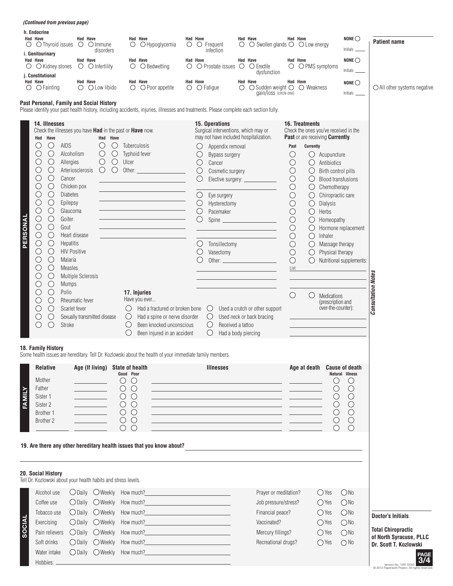|          | h. Endocrine<br><b>Had Have</b>                                                                                                                                                                                                                                                                                                                                                                     | <b>Had Have</b>                                                                                                                                                                       |                                                                                                                              | Had Have                                                                                                                                                                                                                         |                                                                                                                            | <b>Had Have</b>                                                                    |                                                                                                                                                                                                                                                                                      |                    | Had Have                                                                                                                                                                                                                                                                                                                                                                                                                                                                                                                                                                     |                                                                                                                                                                                   | <b>Had Have</b>                                                                                                                                                                                                                                                                                         |                                                                                                                                                                             | NONE $\bigcirc$                                                                                                   | <b>Patient name</b>                               |
|----------|-----------------------------------------------------------------------------------------------------------------------------------------------------------------------------------------------------------------------------------------------------------------------------------------------------------------------------------------------------------------------------------------------------|---------------------------------------------------------------------------------------------------------------------------------------------------------------------------------------|------------------------------------------------------------------------------------------------------------------------------|----------------------------------------------------------------------------------------------------------------------------------------------------------------------------------------------------------------------------------|----------------------------------------------------------------------------------------------------------------------------|------------------------------------------------------------------------------------|--------------------------------------------------------------------------------------------------------------------------------------------------------------------------------------------------------------------------------------------------------------------------------------|--------------------|------------------------------------------------------------------------------------------------------------------------------------------------------------------------------------------------------------------------------------------------------------------------------------------------------------------------------------------------------------------------------------------------------------------------------------------------------------------------------------------------------------------------------------------------------------------------------|-----------------------------------------------------------------------------------------------------------------------------------------------------------------------------------|---------------------------------------------------------------------------------------------------------------------------------------------------------------------------------------------------------------------------------------------------------------------------------------------------------|-----------------------------------------------------------------------------------------------------------------------------------------------------------------------------|-------------------------------------------------------------------------------------------------------------------|---------------------------------------------------|
|          | $\circ$ $\circ$ Thyroid issues<br>i. Genitourinary                                                                                                                                                                                                                                                                                                                                                  | $\circ$                                                                                                                                                                               | $\bigcirc$ Immune<br>disorders                                                                                               | $\bigcirc$ Hypoglycemia<br>Ő                                                                                                                                                                                                     | Ő                                                                                                                          |                                                                                    | $\circ$ Frequent<br>infection                                                                                                                                                                                                                                                        | $\circ$            | $\bigcirc$ Swollen glands $\bigcirc$ $\bigcirc$ Low energy                                                                                                                                                                                                                                                                                                                                                                                                                                                                                                                   |                                                                                                                                                                                   |                                                                                                                                                                                                                                                                                                         |                                                                                                                                                                             | Initials                                                                                                          |                                                   |
| $\circ$  | Had Have<br>$\bigcirc$ Kidney stones                                                                                                                                                                                                                                                                                                                                                                | Had Have<br>$\circ$ $\circ$ Infertility                                                                                                                                               |                                                                                                                              | Had Have<br>$\circ$<br>$\bigcirc$ Bedwetting                                                                                                                                                                                     | $\circ$                                                                                                                    | Had Have                                                                           | O Prostate issues                                                                                                                                                                                                                                                                    | $\circ$            | Had Have<br>$\bigcirc$ Erectile                                                                                                                                                                                                                                                                                                                                                                                                                                                                                                                                              | $\circ$                                                                                                                                                                           | Had Have<br>O PMS symptoms                                                                                                                                                                                                                                                                              |                                                                                                                                                                             | $NOTE$                                                                                                            |                                                   |
|          | j. Constitutional                                                                                                                                                                                                                                                                                                                                                                                   |                                                                                                                                                                                       |                                                                                                                              |                                                                                                                                                                                                                                  |                                                                                                                            |                                                                                    |                                                                                                                                                                                                                                                                                      |                    | dysfunction                                                                                                                                                                                                                                                                                                                                                                                                                                                                                                                                                                  |                                                                                                                                                                                   |                                                                                                                                                                                                                                                                                                         |                                                                                                                                                                             | Initials _                                                                                                        |                                                   |
| $\circ$  | <b>Had Have</b><br>$\bigcirc$ Fainting                                                                                                                                                                                                                                                                                                                                                              | <b>Had Have</b><br>O                                                                                                                                                                  | O Low libido                                                                                                                 | <b>Had Have</b><br>$\bigcirc$ Poor appetite<br>$\bigcirc$                                                                                                                                                                        |                                                                                                                            | Had Have                                                                           | $\bigcirc$ $\bigcirc$ Fatigue                                                                                                                                                                                                                                                        | $\left($ $\right)$ | <b>Had Have</b><br>$\bigcirc$ Sudden weight $\bigcirc$<br>gain/loss (circle one)                                                                                                                                                                                                                                                                                                                                                                                                                                                                                             |                                                                                                                                                                                   | Had Have<br>◯ Weakness                                                                                                                                                                                                                                                                                  |                                                                                                                                                                             | NONE $\bigcirc$<br>Initials _                                                                                     | $\bigcirc$ All other systems negative             |
|          | Past Personal, Family and Social History<br>Please identify your past health history, including accidents, injuries, illnesses and treatments. Please complete each section fully.                                                                                                                                                                                                                  |                                                                                                                                                                                       |                                                                                                                              |                                                                                                                                                                                                                                  |                                                                                                                            |                                                                                    |                                                                                                                                                                                                                                                                                      |                    |                                                                                                                                                                                                                                                                                                                                                                                                                                                                                                                                                                              |                                                                                                                                                                                   |                                                                                                                                                                                                                                                                                                         |                                                                                                                                                                             |                                                                                                                   |                                                   |
| PERSONAL | 14. Illnesses<br>Check the illnesses you have Had in the past or Have now.<br>Had Have<br>$\bigcirc$<br><b>AIDS</b><br>$\bigcirc$<br>$\bigcirc$<br>$\bigcirc$<br>O<br>$\bigcirc$<br>O<br>$\bigcirc$<br>$\bigcirc$<br>O<br>$\bigcirc$<br>$\cup$<br>О<br>$\bigcirc$<br>$\bigcirc$<br>O<br>$\bigcirc$<br>$\bigcirc$<br>Gout<br>$\bigcirc$<br>$\bigcirc$<br>$\bigcirc$<br>$\bigcirc$<br>$\bigcirc$<br>О | Alcoholism<br>Allergies<br>Arteriosclerosis<br>Cancer<br>Chicken pox<br><b>Diabetes</b><br>Epilepsy<br>Glaucoma<br>Goiter<br>Heart disease<br><b>Hepatitis</b><br><b>HIV Positive</b> | Had Have<br>$\bigcirc$<br>O<br>$\bigcirc$<br>$\bigcirc$<br>$\bigcirc$<br>$\bigcirc$<br>$\bigcirc$                            | Tuberculosis<br>Typhoid fever<br>Ulcer<br>Other:                                                                                                                                                                                 |                                                                                                                            | O<br>O<br>O<br>$\bigcirc$<br>O<br>$\bigcirc$<br>$\bigcirc$<br>$\bigcirc$<br>O<br>O | 15. Operations<br>Surgical interventions, which may or<br>may not have included hospitalization.<br>Appendix removal<br>Bypass surgery<br>Cancer<br>Cosmetic surgery<br>Elective surgery: _______<br>Eye surgery<br>Hysterectomy<br>Pacemaker<br>Spine<br>Tonsillectomy<br>Vasectomy |                    |                                                                                                                                                                                                                                                                                                                                                                                                                                                                                                                                                                              | Past<br>O<br>$\bigcirc$<br>$\bigcirc$<br>$\bigcirc$<br>$\bigcirc$<br>$\bigcirc$<br>$\bigcirc$<br>$\bigcirc$<br>$\bigcirc$<br>$\bigcirc$<br>$\bigcirc$<br>$\bigcirc$<br>$\bigcirc$ | 16. Treatments<br>Check the ones you've received in the<br>Past or are receiving Currently.<br>Currently<br>$\circlearrowright$<br>$\bigcirc$<br>$\bigcirc$<br>$\bigcirc$<br>$\bigcirc$<br>$\bigcirc$<br>$\bigcirc$<br>$\bigcirc$<br>$\bigcirc$<br>$\bigcirc$<br>$\bigcirc$<br>$\bigcirc$<br>$\bigcirc$ | Acupuncture<br>Antibiotics<br>Birth control pills<br>Chemotherapy<br>Chiropractic care<br>Dialysis<br>Herbs<br>Homeopathy<br>Inhaler<br>Massage therapy<br>Physical therapy | <b>Blood transfusions</b><br>Hormone replacement                                                                  |                                                   |
|          | ∩<br>$\bigcirc$<br>$\bigcirc$<br>С<br>$\bigcirc$<br>O<br>$\bigcirc$<br>$\bigcirc$<br>C<br>$\bigcirc$<br>$\bigcirc$<br>$\bigcirc$<br>С.<br>$\bigcirc$<br>O                                                                                                                                                                                                                                           | Malaria<br><b>Measles</b><br><b>Multiple Sclerosis</b><br><b>Mumps</b><br>Polio<br>Rheumatic fever<br>Scarlet fever<br>Sexually transmitted disease<br>Stroke                         |                                                                                                                              | 17. Injuries<br>Have you ever<br>$\left(\right)$<br>$\bigcirc$                                                                                                                                                                   | Had a fractured or broken bone<br>Had a spine or nerve disorder<br>Been knocked unconscious<br>Been injured in an accident | $\bigcirc$                                                                         | Ő<br>$\bigcirc$<br>$\bigcirc$<br>Received a tattoo<br>$\bigcirc$<br>Had a body piercing                                                                                                                                                                                              |                    | Used a crutch or other support<br>Used neck or back bracing                                                                                                                                                                                                                                                                                                                                                                                                                                                                                                                  | $\bigcirc$<br>List:<br>$\bigcirc$                                                                                                                                                 | ◯<br>$\bigcirc$                                                                                                                                                                                                                                                                                         | Medications<br>(prescription and<br>over-the-counter):                                                                                                                      | Nutritional supplements:                                                                                          | <b>Consultation Notes</b>                         |
|          | 18. Family History<br>Some health issues are hereditary. Tell Dr. Kozlowski about the health of your immediate family members.                                                                                                                                                                                                                                                                      |                                                                                                                                                                                       |                                                                                                                              |                                                                                                                                                                                                                                  |                                                                                                                            |                                                                                    |                                                                                                                                                                                                                                                                                      |                    |                                                                                                                                                                                                                                                                                                                                                                                                                                                                                                                                                                              |                                                                                                                                                                                   |                                                                                                                                                                                                                                                                                                         |                                                                                                                                                                             |                                                                                                                   |                                                   |
| FAMILY   | <b>Relative</b><br>Mother<br>Father<br>Sister 1<br>Sister 2<br>Brother 1<br>Brother 2                                                                                                                                                                                                                                                                                                               | <u> 1999 - Johann Barnett, f</u>                                                                                                                                                      | Age (If living) State of health<br>$\bigcirc$<br>$\bigcirc$<br>$\bigcirc$<br>$\bigcirc$<br>$\circlearrowright$<br>$\bigcirc$ | Good Poor<br>$\bigcirc$<br>$\circ$<br>$\circlearrowright$<br>$\left(\begin{array}{c} \end{array}\right)$<br>$\circ$<br>$\circ$ $\circ$<br>$\bigcirc$                                                                             |                                                                                                                            |                                                                                    | <b>Illnesses</b>                                                                                                                                                                                                                                                                     |                    | <u> 1980 - Jan Barnett, fransk politiker (d. 1980)</u><br><u> 1990 - Jan Barnett, fransk politik (f. 1980)</u><br><u> 1989 - Johann Marie Barn, mars an t-Amerikaansk politiker († 1908)</u><br><u> 1999 - Johann John Stone, mars et al. (1999)</u><br><u> 1980 - Johann Barn, mars eta bainar eta bainar eta baina eta baina eta baina eta baina eta baina eta baina e</u><br><u> 1989 - Andrea Stadt Britain, amerikansk politiker (d. 1989)</u><br><u> 1980 - Johann Barn, mars ann an t-Amhain an t-Amhain an t-Amhain an t-Amhain an t-Amhain an t-Amhain an t-Amh</u> |                                                                                                                                                                                   | Age at death Cause of death                                                                                                                                                                                                                                                                             | $\bigcirc$<br>$\bigcirc$<br>O<br>$\bigcirc$<br>$\bigcirc$                                                                                                                   | Natural Illness<br>$\bigcirc$<br>$\bigcirc$<br>$\bigcirc$<br>$\bigcirc$<br>$\bigcirc$<br>$\bigcirc$<br>$\bigcirc$ |                                                   |
|          | 19. Are there any other hereditary health issues that you know about?                                                                                                                                                                                                                                                                                                                               |                                                                                                                                                                                       |                                                                                                                              |                                                                                                                                                                                                                                  |                                                                                                                            |                                                                                    |                                                                                                                                                                                                                                                                                      |                    |                                                                                                                                                                                                                                                                                                                                                                                                                                                                                                                                                                              |                                                                                                                                                                                   |                                                                                                                                                                                                                                                                                                         |                                                                                                                                                                             |                                                                                                                   |                                                   |
|          | 20. Social History<br>Tell Dr. Kozlowski about your health habits and stress levels.                                                                                                                                                                                                                                                                                                                |                                                                                                                                                                                       |                                                                                                                              |                                                                                                                                                                                                                                  |                                                                                                                            |                                                                                    |                                                                                                                                                                                                                                                                                      |                    |                                                                                                                                                                                                                                                                                                                                                                                                                                                                                                                                                                              |                                                                                                                                                                                   |                                                                                                                                                                                                                                                                                                         |                                                                                                                                                                             |                                                                                                                   |                                                   |
|          | Alcohol use                                                                                                                                                                                                                                                                                                                                                                                         |                                                                                                                                                                                       | $\bigcirc$ Daily $\bigcirc$ Weekly How much?                                                                                 |                                                                                                                                                                                                                                  | <u> 1980 - Johann Barn, mars an t-Amerikaansk kommunister (</u>                                                            |                                                                                    |                                                                                                                                                                                                                                                                                      |                    | Prayer or meditation?                                                                                                                                                                                                                                                                                                                                                                                                                                                                                                                                                        |                                                                                                                                                                                   |                                                                                                                                                                                                                                                                                                         | $\bigcirc$ Yes                                                                                                                                                              | ONO                                                                                                               |                                                   |
|          | Coffee use                                                                                                                                                                                                                                                                                                                                                                                          |                                                                                                                                                                                       | $\bigcirc$ Daily $\bigcirc$ Weekly How much?                                                                                 |                                                                                                                                                                                                                                  | <u> 1989 - Johann Stein, mars an deus Amerikaansk kommunister (</u>                                                        |                                                                                    |                                                                                                                                                                                                                                                                                      |                    | Job pressure/stress?                                                                                                                                                                                                                                                                                                                                                                                                                                                                                                                                                         |                                                                                                                                                                                   |                                                                                                                                                                                                                                                                                                         | $\bigcirc$ Yes                                                                                                                                                              | ONo                                                                                                               |                                                   |
|          | Tobacco use                                                                                                                                                                                                                                                                                                                                                                                         |                                                                                                                                                                                       | $\bigcirc$ Daily $\bigcirc$ Weekly How much?                                                                                 |                                                                                                                                                                                                                                  | and the control of the control of the control of                                                                           |                                                                                    |                                                                                                                                                                                                                                                                                      |                    | Financial peace?                                                                                                                                                                                                                                                                                                                                                                                                                                                                                                                                                             |                                                                                                                                                                                   |                                                                                                                                                                                                                                                                                                         | $\bigcirc$ Yes                                                                                                                                                              | ONo                                                                                                               |                                                   |
|          | Exercising                                                                                                                                                                                                                                                                                                                                                                                          |                                                                                                                                                                                       |                                                                                                                              | O Daily O Weekly How much?<br>Notation of the Manuscript Contract of the Manuscript Contract of the Manuscript Contract of the Manuscript Contract of Daily O Manuscript Contract O Daily O Manuscript Contract O Daily O Manusc |                                                                                                                            |                                                                                    |                                                                                                                                                                                                                                                                                      |                    | Vaccinated?                                                                                                                                                                                                                                                                                                                                                                                                                                                                                                                                                                  |                                                                                                                                                                                   |                                                                                                                                                                                                                                                                                                         | $\bigcirc$ Yes                                                                                                                                                              | ONo                                                                                                               | <b>Doctor's Initials</b>                          |
| SOCIAL   | Pain relievers                                                                                                                                                                                                                                                                                                                                                                                      |                                                                                                                                                                                       | ○ Daily ○ Weekly How much?                                                                                                   |                                                                                                                                                                                                                                  |                                                                                                                            |                                                                                    |                                                                                                                                                                                                                                                                                      |                    | Mercury fillings?                                                                                                                                                                                                                                                                                                                                                                                                                                                                                                                                                            |                                                                                                                                                                                   |                                                                                                                                                                                                                                                                                                         | $\bigcirc$ Yes                                                                                                                                                              | ONO                                                                                                               | <b>Total Chiropractic</b>                         |
|          | Soft drinks                                                                                                                                                                                                                                                                                                                                                                                         | $\bigcirc$ Daily                                                                                                                                                                      | OWeekly                                                                                                                      | How much?                                                                                                                                                                                                                        | <u> 1989 - Johann Barn, fransk politik (d. 1989)</u>                                                                       |                                                                                    |                                                                                                                                                                                                                                                                                      |                    | Recreational drugs?                                                                                                                                                                                                                                                                                                                                                                                                                                                                                                                                                          |                                                                                                                                                                                   |                                                                                                                                                                                                                                                                                                         | $\bigcirc$ Yes                                                                                                                                                              | $\bigcirc$ No                                                                                                     | of North Syracuse, PLLC<br>Dr. Scott T. Kozlowski |
|          | Water intake                                                                                                                                                                                                                                                                                                                                                                                        |                                                                                                                                                                                       |                                                                                                                              | O Daily O Weekly How much?<br>Note: 0 0 Daily O Weekly How much?                                                                                                                                                                 |                                                                                                                            |                                                                                    |                                                                                                                                                                                                                                                                                      |                    |                                                                                                                                                                                                                                                                                                                                                                                                                                                                                                                                                                              |                                                                                                                                                                                   |                                                                                                                                                                                                                                                                                                         |                                                                                                                                                                             |                                                                                                                   |                                                   |
|          | Hobbies: _                                                                                                                                                                                                                                                                                                                                                                                          |                                                                                                                                                                                       |                                                                                                                              |                                                                                                                                                                                                                                  |                                                                                                                            |                                                                                    |                                                                                                                                                                                                                                                                                      |                    |                                                                                                                                                                                                                                                                                                                                                                                                                                                                                                                                                                              |                                                                                                                                                                                   |                                                                                                                                                                                                                                                                                                         |                                                                                                                                                                             |                                                                                                                   | PAGE<br>3/4                                       |

*(Continued from previous page)*